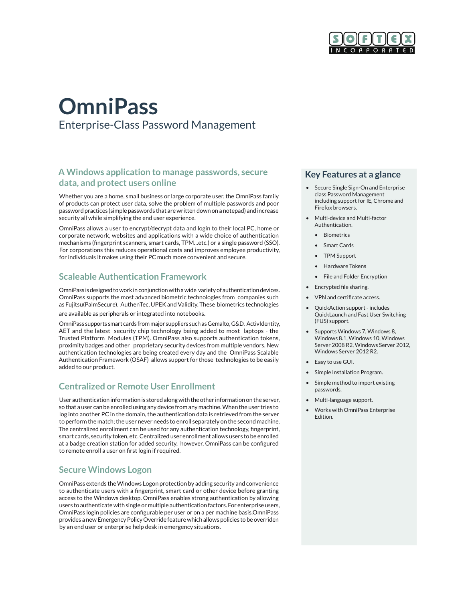

# **OmniPass** Enterprise-Class Password Management

## **A Windows application to manage passwords, secure data, and protect users online**

Whether you are a home, small business or large corporate user, the OmniPass family of products can protect user data, solve the problem of multiple passwords and poor password practices (simple passwords that are written down on a notepad) and increase security all while simplifying the end user experience.

OmniPass allows a user to encrypt/decrypt data and login to their local PC, home or corporate network, websites and applications with a wide choice of authentication mechanisms (fingerprint scanners, smart cards, TPM…etc.) or a single password (SSO). For corporations this reduces operational costs and improves employee productivity, for individuals it makes using their PC much more convenient and secure.

#### **Scaleable Authentication Framework**

OmniPass is designed to work in conjunction with a wide variety of authentication devices. OmniPass supports the most advanced biometric technologies from companies such as Fujitsu(PalmSecure), AuthenTec, UPEK and Validity. These biometrics technologies are available as peripherals or integrated into notebooks.

OmniPass supports smart cards from major suppliers such as Gemalto, G&D, ActivIdentity, AET and the latest security chip technology being added to most laptops - the Trusted Platform Modules (TPM). OmniPass also supports authentication tokens, proximity badges and other proprietary security devices from multiple vendors. New authentication technologies are being created every day and the OmniPass Scalable Authentication Framework (OSAF) allows support for those technologies to be easily added to our product.

## **Centralized or Remote User Enrollment**

User authentication information is stored along with the other information on the server, so that a user can be enrolled using any device from any machine. When the user tries to log into another PC in the domain, the authentication data is retrieved from the server to perform the match; the user never needs to enroll separately on the second machine. The centralized enrollment can be used for any authentication technology, fingerprint, smart cards, security token, etc. Centralized user enrollment allows users to be enrolled at a badge creation station for added security, however, OmniPass can be configured to remote enroll a user on first login if required.

## **Secure Windows Logon**

OmniPass extends the Windows Logon protection by adding security and convenience to authenticate users with a fingerprint, smart card or other device before granting access to the Windows desktop. OmniPass enables strong authentication by allowing users to authenticate with single or multiple authentication factors. For enterprise users, OmniPass login policies are configurable per user or on a per machine basis.OmniPass provides a new Emergency Policy Override feature which allows policies to be overriden by an end user or enterprise help desk in emergency situations.

#### **Key Features at a glance**

- Secure Single Sign-On and Enterprise class Password Management including support for IE, Chrome and Firefox browsers.
- Multi-device and Multi-factor Authentication.
	- Biometrics
	- Smart Cards
	- TPM Support
	- Hardware Tokens
	- File and Folder Encryption
- Encrypted file sharing.
- VPN and certificate access.
- QuickAction support includes QuickLaunch and Fast User Switching (FUS) support.
- Supports Windows 7, Windows 8, Windows 8.1, Windows 10, Windows Server 2008 R2, Windows Server 2012, Windows Server 2012 R2.
- Easy to use GUI.
- Simple Installation Program.
- Simple method to import existing passwords.
- Multi-language support.
- Works with OmniPass Enterprise Edition.